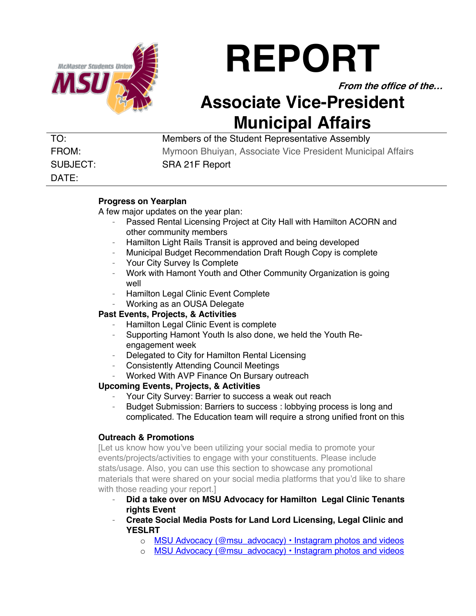

# **REPORT**

**From the office of the…**

# **Associate Vice-President Municipal Affairs**

DATE:

TO: Members of the Student Representative Assembly FROM: Mymoon Bhuiyan, Associate Vice President Municipal Affairs SUBJECT: SRA 21F Report

#### **Progress on Yearplan**

A few major updates on the year plan:

- Passed Rental Licensing Project at City Hall with Hamilton ACORN and other community members
- Hamilton Light Rails Transit is approved and being developed
- Municipal Budget Recommendation Draft Rough Copy is complete
- Your City Survey Is Complete
- Work with Hamont Youth and Other Community Organization is going well
- Hamilton Legal Clinic Event Complete
- Working as an OUSA Delegate

# **Past Events, Projects, & Activities**

- Hamilton Legal Clinic Event is complete
- Supporting Hamont Youth Is also done, we held the Youth Reengagement week
- Delegated to City for Hamilton Rental Licensing
- Consistently Attending Council Meetings
- Worked With AVP Finance On Bursary outreach

# **Upcoming Events, Projects, & Activities**

- Your City Survey: Barrier to success a weak out reach
- Budget Submission: Barriers to success : lobbying process is long and complicated. The Education team will require a strong unified front on this

# **Outreach & Promotions**

[Let us know how you've been utilizing your social media to promote your events/projects/activities to engage with your constituents. Please include stats/usage. Also, you can use this section to showcase any promotional materials that were shared on your social media platforms that you'd like to share with those reading your report.]

- **Did a take over on MSU Advocacy for Hamilton Legal Clinic Tenants rights Event**
- **Create Social Media Posts for Land Lord Licensing, Legal Clinic and YESLRT**
	- o MSU Advocacy (@msu\_advocacy) Instagram photos and videos
	- o MSU Advocacy (@msu\_advocacy) Instagram photos and videos